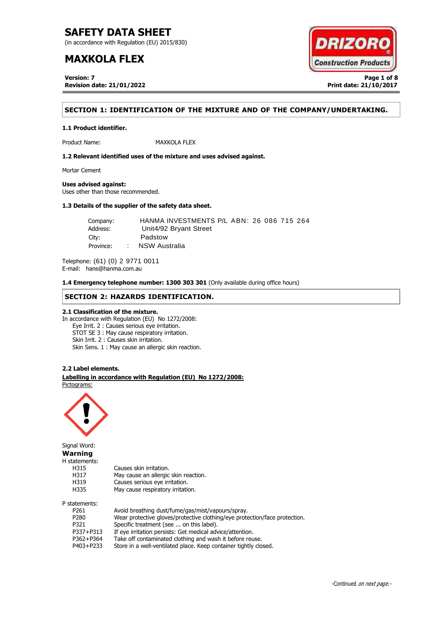(in accordance with Regulation (EU) 2015/830)

# **MAXKOLA FLEX**

**Version: 7 Page 1 of 8 Revision date: 21/01/2022 Print date: 21/10/2017**



# **SECTION 1: IDENTIFICATION OF THE MIXTURE AND OF THE COMPANY/UNDERTAKING.**

## **1.1 Product identifier.**

Product Name: MAXKOLA FLEX

**1.2 Relevant identified uses of the mixture and uses advised against.**

Mortar Cement

## **Uses advised against:**

Uses other than those recommended.

# **1.3 Details of the supplier of the safety data sheet.**

| Company:  | HANMA INVESTMENTS P/L ABN: 26 086 715 264 |  |
|-----------|-------------------------------------------|--|
| Address:  | Unit4/92 Bryant Street                    |  |
| City:     | Padstow                                   |  |
| Province: | NSW Australia                             |  |

Telephone: (61) (0) 2 9771 0011 E-mail: hans@hanma.com.au

**1.4 Emergency telephone number: 1300 303 301** (Only available during office hours)

# **SECTION 2: HAZARDS IDENTIFICATION.**

## **2.1 Classification of the mixture.**

In accordance with Regulation (EU) No 1272/2008: Eye Irrit. 2 : Causes serious eye irritation. STOT SE 3 : May cause respiratory irritation. Skin Irrit. 2 : Causes skin irritation. Skin Sens. 1 : May cause an allergic skin reaction.

### **2.2 Label elements.**

. **Labelling in accordance with Regulation (EU) No 1272/2008:** Pictograms:

May cause an allergic skin reaction.



Signal Word: **Warning** H statements: H315 Causes skin irritation.<br>H317 May cause an allergic H319 Causes serious eye irritation. H335 May cause respiratory irritation. P statements:

| P261             | Avoid breathing dust/fume/gas/mist/vapours/spray.                          |
|------------------|----------------------------------------------------------------------------|
| P <sub>280</sub> | Wear protective gloves/protective clothing/eye protection/face protection. |
| P321             | Specific treatment (see  on this label).                                   |
| P337+P313        | If eye irritation persists: Get medical advice/attention.                  |
| P362+P364        | Take off contaminated clothing and wash it before reuse.                   |
| P403+P233        | Store in a well-ventilated place. Keep container tightly closed.           |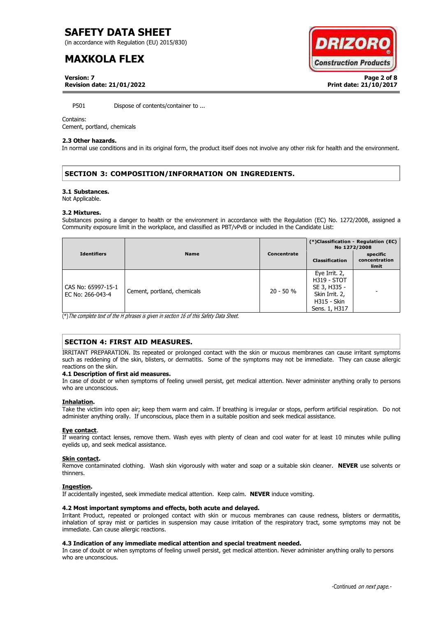(in accordance with Regulation (EU) 2015/830)

# **MAXKOLA FLEX**



**Version: 7 Page 2 of 8 Revision date: 21/01/2022 Print date: 21/10/2017**

P501 Dispose of contents/container to ...

### Contains:

Cement, portland, chemicals

## **2.3 Other hazards.**

In normal use conditions and in its original form, the product itself does not involve any other risk for health and the environment.

# **SECTION 3: COMPOSITION/INFORMATION ON INGREDIENTS.**

### **3.1 Substances.**

Not Applicable.

### **3.2 Mixtures.**

Substances posing a danger to health or the environment in accordance with the Regulation (EC) No. 1272/2008, assigned a Community exposure limit in the workplace, and classified as PBT/vPvB or included in the Candidate List:

|                                        |                             |             | (*)Classification - Regulation (EC)<br>No 1272/2008                                                          |                                    |
|----------------------------------------|-----------------------------|-------------|--------------------------------------------------------------------------------------------------------------|------------------------------------|
| <b>Identifiers</b>                     | <b>Name</b>                 | Concentrate | <b>Classification</b>                                                                                        | specific<br>concentration<br>limit |
| CAS No: 65997-15-1<br>EC No: 266-043-4 | Cement, portland, chemicals | $20 - 50 %$ | Eye Irrit. 2,<br><b>H319 - STOT</b><br>SE 3, H335 -<br>Skin Irrit. 2,<br><b>H315 - Skin</b><br>Sens. 1, H317 |                                    |

(\*)The complete text of the H phrases is given in section 16 of this Safety Data Sheet.

# **SECTION 4: FIRST AID MEASURES.**

IRRITANT PREPARATION. Its repeated or prolonged contact with the skin or mucous membranes can cause irritant symptoms such as reddening of the skin, blisters, or dermatitis. Some of the symptoms may not be immediate. They can cause allergic reactions on the skin.

### **4.1 Description of first aid measures.**

In case of doubt or when symptoms of feeling unwell persist, get medical attention. Never administer anything orally to persons who are unconscious.

### **Inhalation.**

Take the victim into open air; keep them warm and calm. If breathing is irregular or stops, perform artificial respiration. Do not administer anything orally. If unconscious, place them in a suitable position and seek medical assistance.

### **Eye contact**.

If wearing contact lenses, remove them. Wash eyes with plenty of clean and cool water for at least 10 minutes while pulling eyelids up, and seek medical assistance.

### **Skin contact.**

Remove contaminated clothing. Wash skin vigorously with water and soap or a suitable skin cleaner. **NEVER** use solvents or thinners.

### **Ingestion.**

If accidentally ingested, seek immediate medical attention. Keep calm. **NEVER** induce vomiting.

## **4.2 Most important symptoms and effects, both acute and delayed.**

Irritant Product, repeated or prolonged contact with skin or mucous membranes can cause redness, blisters or dermatitis, inhalation of spray mist or particles in suspension may cause irritation of the respiratory tract, some symptoms may not be immediate. Can cause allergic reactions.

### **4.3 Indication of any immediate medical attention and special treatment needed.**

In case of doubt or when symptoms of feeling unwell persist, get medical attention. Never administer anything orally to persons who are unconscious.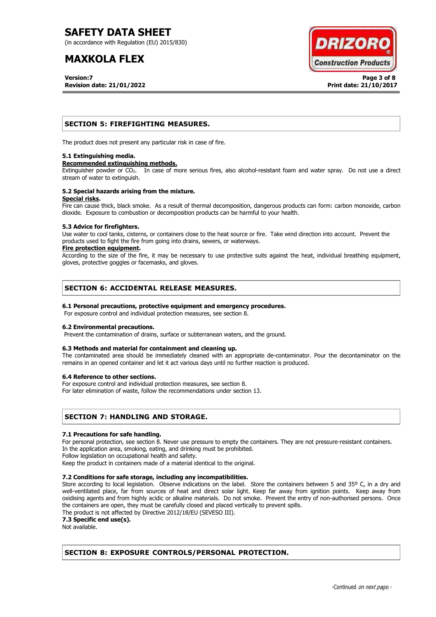(in accordance with Regulation (EU) 2015/830)

# **MAXKOLA FLEX**

**Version:7 Page 3 of 8 Revision date: 21/01/2022 Print date: 21/10/2017**



# **SECTION 5: FIREFIGHTING MEASURES.**

The product does not present any particular risk in case of fire.

## **5.1 Extinguishing media.**

### **Recommended extinguishing methods.**

Extinguisher powder or CO<sub>2</sub>. In case of more serious fires, also alcohol-resistant foam and water spray. Do not use a direct stream of water to extinguish.

#### **5.2 Special hazards arising from the mixture. Special risks.**

Fire can cause thick, black smoke. As a result of thermal decomposition, dangerous products can form: carbon monoxide, carbon dioxide. Exposure to combustion or decomposition products can be harmful to your health.

### **5.3 Advice for firefighters.**

Use water to cool tanks, cisterns, or containers close to the heat source or fire. Take wind direction into account. Prevent the products used to fight the fire from going into drains, sewers, or waterways.

## **Fire protection equipment.**

According to the size of the fire, it may be necessary to use protective suits against the heat, individual breathing equipment, gloves, protective goggles or facemasks, and gloves.

# **SECTION 6: ACCIDENTAL RELEASE MEASURES.**

## **6.1 Personal precautions, protective equipment and emergency procedures.**

For exposure control and individual protection measures, see section 8.

## **6.2 Environmental precautions.**

Prevent the contamination of drains, surface or subterranean waters, and the ground.

## **6.3 Methods and material for containment and cleaning up.**

The contaminated area should be immediately cleaned with an appropriate de-contaminator. Pour the decontaminator on the remains in an opened container and let it act various days until no further reaction is produced.

### **6.4 Reference to other sections.**

For exposure control and individual protection measures, see section 8.

For later elimination of waste, follow the recommendations under section 13.

# **SECTION 7: HANDLING AND STORAGE.**

## **7.1 Precautions for safe handling.**

For personal protection, see section 8. Never use pressure to empty the containers. They are not pressure-resistant containers. In the application area, smoking, eating, and drinking must be prohibited.

Follow legislation on occupational health and safety.

Keep the product in containers made of a material identical to the original.

## **7.2 Conditions for safe storage, including any incompatibilities.**

Store according to local legislation. Observe indications on the label. Store the containers between 5 and 35° C, in a dry and well-ventilated place, far from sources of heat and direct solar light. Keep far away from ignition points. Keep away from oxidising agents and from highly acidic or alkaline materials. Do not smoke. Prevent the entry of non-authorised persons. Once the containers are open, they must be carefully closed and placed vertically to prevent spills.

The product is not affected by Directive 2012/18/EU (SEVESO III).

**7.3 Specific end use(s).**

Not available.

# **SECTION 8: EXPOSURE CONTROLS/PERSONAL PROTECTION.**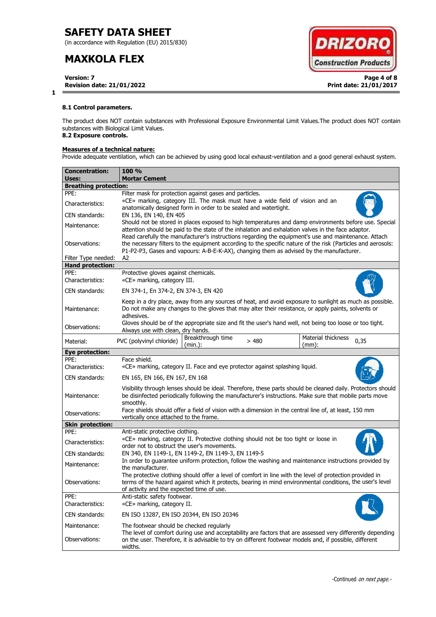(in accordance with Regulation (EU) 2015/830)

# **MAXKOLA FLEX**

**1**

**Revision date: 21/01/2022 Print date: 21/01/2017**



**Version: 7 Page 4 of 8** 

## **8.1 Control parameters.**

The product does NOT contain substances with Professional Exposure Environmental Limit Values.The product does NOT contain substances with Biological Limit Values.

# **8.2 Exposure controls.**

# **Measures of a technical nature:**

Provide adequate ventilation, which can be achieved by using good local exhaust-ventilation and a good general exhaust system.

| <b>Concentration:</b>        | <b>100 %</b>                                                                                                                                                                                                                                                                                                        |  |  |  |  |  |
|------------------------------|---------------------------------------------------------------------------------------------------------------------------------------------------------------------------------------------------------------------------------------------------------------------------------------------------------------------|--|--|--|--|--|
| Uses:                        | <b>Mortar Cement</b>                                                                                                                                                                                                                                                                                                |  |  |  |  |  |
| <b>Breathing protection:</b> |                                                                                                                                                                                                                                                                                                                     |  |  |  |  |  |
| PPE:                         | Filter mask for protection against gases and particles.                                                                                                                                                                                                                                                             |  |  |  |  |  |
| Characteristics:             | «CE» marking, category III. The mask must have a wide field of vision and an<br>anatomically designed form in order to be sealed and watertight.                                                                                                                                                                    |  |  |  |  |  |
| CEN standards:               | EN 136, EN 140, EN 405                                                                                                                                                                                                                                                                                              |  |  |  |  |  |
| Maintenance:                 | Should not be stored in places exposed to high temperatures and damp environments before use. Special<br>attention should be paid to the state of the inhalation and exhalation valves in the face adaptor.<br>Read carefully the manufacturer's instructions regarding the equipment's use and maintenance. Attach |  |  |  |  |  |
| Observations:                | the necessary filters to the equipment according to the specific nature of the risk (Particles and aerosols:<br>P1-P2-P3, Gases and vapours: A-B-E-K-AX), changing them as advised by the manufacturer.                                                                                                             |  |  |  |  |  |
| Filter Type needed:          | A2                                                                                                                                                                                                                                                                                                                  |  |  |  |  |  |
| <b>Hand protection:</b>      |                                                                                                                                                                                                                                                                                                                     |  |  |  |  |  |
| PPE:<br>Characteristics:     | Protective gloves against chemicals.<br>«CE» marking, category III.                                                                                                                                                                                                                                                 |  |  |  |  |  |
| CEN standards:               | EN 374-1, En 374-2, EN 374-3, EN 420                                                                                                                                                                                                                                                                                |  |  |  |  |  |
| Maintenance:                 | Keep in a dry place, away from any sources of heat, and avoid exposure to sunlight as much as possible.<br>Do not make any changes to the gloves that may alter their resistance, or apply paints, solvents or<br>adhesives.                                                                                        |  |  |  |  |  |
| Observations:                | Gloves should be of the appropriate size and fit the user's hand well, not being too loose or too tight.<br>Always use with clean, dry hands.                                                                                                                                                                       |  |  |  |  |  |
| Material:                    | Material thickness<br>Breakthrough time<br>PVC (polyvinyl chloride)<br>>480<br>0,35<br>(mm):<br>(min.):                                                                                                                                                                                                             |  |  |  |  |  |
| <b>Eye protection:</b>       |                                                                                                                                                                                                                                                                                                                     |  |  |  |  |  |
| PPE:                         | Face shield.                                                                                                                                                                                                                                                                                                        |  |  |  |  |  |
| Characteristics:             | «CE» marking, category II. Face and eye protector against splashing liquid.                                                                                                                                                                                                                                         |  |  |  |  |  |
| CEN standards:               | EN 165, EN 166, EN 167, EN 168                                                                                                                                                                                                                                                                                      |  |  |  |  |  |
| Maintenance:                 | Visibility through lenses should be ideal. Therefore, these parts should be cleaned daily. Protectors should<br>be disinfected periodically following the manufacturer's instructions. Make sure that mobile parts move<br>smoothly.                                                                                |  |  |  |  |  |
| Observations:                | Face shields should offer a field of vision with a dimension in the central line of, at least, 150 mm<br>vertically once attached to the frame.                                                                                                                                                                     |  |  |  |  |  |
| <b>Skin protection:</b>      |                                                                                                                                                                                                                                                                                                                     |  |  |  |  |  |
| PPE:                         | Anti-static protective clothing.                                                                                                                                                                                                                                                                                    |  |  |  |  |  |
| Characteristics:             | «CE» marking, category II. Protective clothing should not be too tight or loose in<br>order not to obstruct the user's movements.                                                                                                                                                                                   |  |  |  |  |  |
| CEN standards:               | EN 340, EN 1149-1, EN 1149-2, EN 1149-3, EN 1149-5                                                                                                                                                                                                                                                                  |  |  |  |  |  |
| Maintenance:                 | In order to guarantee uniform protection, follow the washing and maintenance instructions provided by<br>the manufacturer.                                                                                                                                                                                          |  |  |  |  |  |
| Observations:                | The protective clothing should offer a level of comfort in line with the level of protection provided in<br>terms of the hazard against which it protects, bearing in mind environmental conditions, the user's level<br>of activity and the expected time of use.                                                  |  |  |  |  |  |
| PPE:<br>Characteristics:     | Anti-static safety footwear.<br>«CE» marking, category II.                                                                                                                                                                                                                                                          |  |  |  |  |  |
| CEN standards:               | EN ISO 13287, EN ISO 20344, EN ISO 20346                                                                                                                                                                                                                                                                            |  |  |  |  |  |
| Maintenance:                 | The footwear should be checked regularly                                                                                                                                                                                                                                                                            |  |  |  |  |  |
| Observations:                | The level of comfort during use and acceptability are factors that are assessed very differently depending<br>on the user. Therefore, it is advisable to try on different footwear models and, if possible, different<br>widths.                                                                                    |  |  |  |  |  |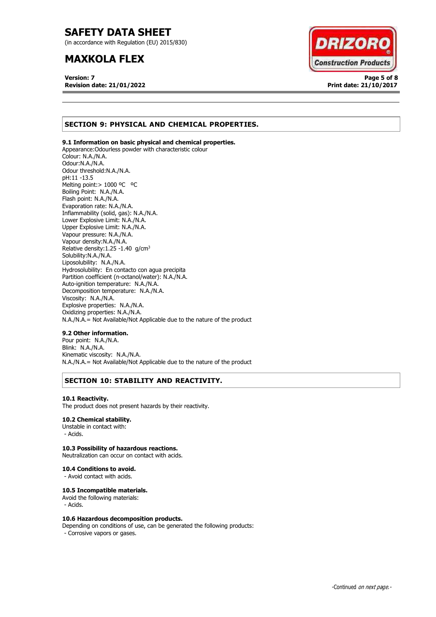(in accordance with Regulation (EU) 2015/830)

# **MAXKOLA FLEX**

**Version: 7 Page 5 of 8 Revision date: 21/01/2022 Print date: 21/10/2017**



# **SECTION 9: PHYSICAL AND CHEMICAL PROPERTIES.**

## **9.1 Information on basic physical and chemical properties.**

Appearance:Odourless powder with characteristic colour Colour: N.A./N.A. Odour:N.A./N.A. Odour threshold:N.A./N.A. pH:11 -13.5 Melting point: > 1000 °C °C Boiling Point: N.A./N.A. Flash point: N.A./N.A. Evaporation rate: N.A./N.A. Inflammability (solid, gas): N.A./N.A. Lower Explosive Limit: N.A./N.A. Upper Explosive Limit: N.A./N.A. Vapour pressure: N.A./N.A. Vapour density:N.A./N.A. Relative density:  $1.25 - 1.40$  g/cm<sup>3</sup> Solubility:N.A./N.A. Liposolubility: N.A./N.A. Hydrosolubility: En contacto con agua precipita Partition coefficient (n-octanol/water): N.A./N.A. Auto-ignition temperature: N.A./N.A. Decomposition temperature: N.A./N.A. Viscosity: N.A./N.A. Explosive properties: N.A./N.A. Oxidizing properties: N.A./N.A. N.A./N.A.= Not Available/Not Applicable due to the nature of the product

## **9.2 Other information.**

Pour point: N.A./N.A. Blink: N.A./N.A. Kinematic viscosity: N.A./N.A. N.A./N.A.= Not Available/Not Applicable due to the nature of the product

# **SECTION 10: STABILITY AND REACTIVITY.**

### **10.1 Reactivity.**

The product does not present hazards by their reactivity.

## **10.2 Chemical stability.**

Unstable in contact with: - Acids.

## **10.3 Possibility of hazardous reactions.**

Neutralization can occur on contact with acids.

### **10.4 Conditions to avoid.**

- Avoid contact with acids.

### **10.5 Incompatible materials.**

Avoid the following materials: - Acids.

### **10.6 Hazardous decomposition products.**

Depending on conditions of use, can be generated the following products: - Corrosive vapors or gases.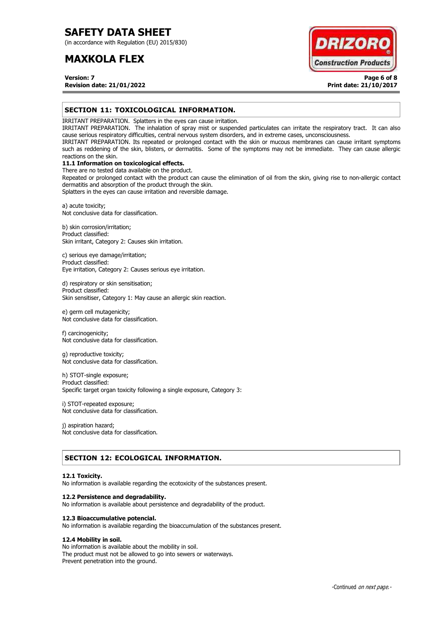(in accordance with Regulation (EU) 2015/830)

# **MAXKOLA FLEX**



**Version: 7 Page 6 of 8 Revision date: 21/01/2022 Print date: 21/10/2017**

# **SECTION 11: TOXICOLOGICAL INFORMATION.**

IRRITANT PREPARATION. Splatters in the eyes can cause irritation.

IRRITANT PREPARATION. The inhalation of spray mist or suspended particulates can irritate the respiratory tract. It can also cause serious respiratory difficulties, central nervous system disorders, and in extreme cases, unconsciousness.

IRRITANT PREPARATION. Its repeated or prolonged contact with the skin or mucous membranes can cause irritant symptoms such as reddening of the skin, blisters, or dermatitis. Some of the symptoms may not be immediate. They can cause allergic reactions on the skin.

# **11.1 Information on toxicological effects.**

There are no tested data available on the product. Repeated or prolonged contact with the product can cause the elimination of oil from the skin, giving rise to non-allergic contact dermatitis and absorption of the product through the skin.

Splatters in the eyes can cause irritation and reversible damage.

a) acute toxicity; Not conclusive data for classification.

b) skin corrosion/irritation; Product classified: Skin irritant, Category 2: Causes skin irritation.

c) serious eye damage/irritation; Product classified: Eye irritation, Category 2: Causes serious eye irritation.

d) respiratory or skin sensitisation; Product classified: Skin sensitiser, Category 1: May cause an allergic skin reaction.

e) germ cell mutagenicity; Not conclusive data for classification.

f) carcinogenicity; Not conclusive data for classification.

g) reproductive toxicity; Not conclusive data for classification.

h) STOT-single exposure; Product classified: Specific target organ toxicity following a single exposure, Category 3:

i) STOT-repeated exposure; Not conclusive data for classification.

j) aspiration hazard; Not conclusive data for classification.

# **SECTION 12: ECOLOGICAL INFORMATION.**

### **12.1 Toxicity.**

No information is available regarding the ecotoxicity of the substances present.

### **12.2 Persistence and degradability.**

No information is available about persistence and degradability of the product.

### **12.3 Bioaccumulative potencial.**

No information is available regarding the bioaccumulation of the substances present.

# **12.4 Mobility in soil.**

No information is available about the mobility in soil. The product must not be allowed to go into sewers or waterways. Prevent penetration into the ground.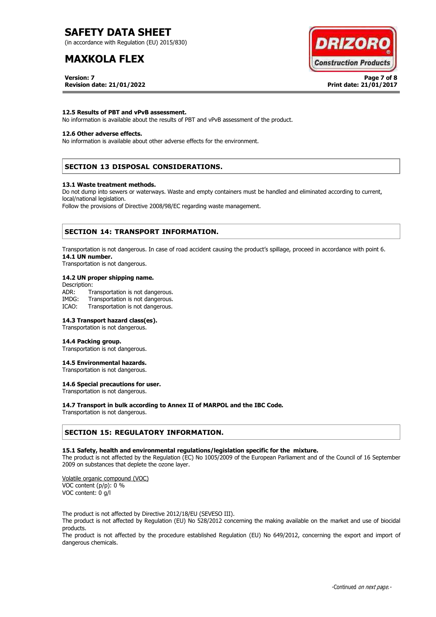(in accordance with Regulation (EU) 2015/830)

# **MAXKOLA FLEX**



**Version: 7 Page 7 of 8 Revision date: 21/01/2022 Print date: 21/01/2017**

## **12.5 Results of PBT and vPvB assessment.**

No information is available about the results of PBT and vPvB assessment of the product.

## **12.6 Other adverse effects.**

No information is available about other adverse effects for the environment.

# **SECTION 13 DISPOSAL CONSIDERATIONS.**

#### **13.1 Waste treatment methods.**

Do not dump into sewers or waterways. Waste and empty containers must be handled and eliminated according to current, local/national legislation.

Follow the provisions of Directive 2008/98/EC regarding waste management.

# **SECTION 14: TRANSPORT INFORMATION.**

Transportation is not dangerous. In case of road accident causing the product's spillage, proceed in accordance with point 6. **14.1 UN number.**

Transportation is not dangerous.

### **14.2 UN proper shipping name.**

Description: ADR: Transportation is not dangerous.<br>IMDG: Transportation is not dangerous. Transportation is not dangerous. ICAO: Transportation is not dangerous.

## **14.3 Transport hazard class(es).**

Transportation is not dangerous.

## **14.4 Packing group.**

Transportation is not dangerous.

### **14.5 Environmental hazards.**

Transportation is not dangerous.

# **14.6 Special precautions for user.**

Transportation is not dangerous.

### **14.7 Transport in bulk according to Annex II of MARPOL and the IBC Code.**

Transportation is not dangerous.

## **SECTION 15: REGULATORY INFORMATION.**

### **15.1 Safety, health and environmental regulations/legislation specific for the mixture.**

The product is not affected by the Regulation (EC) No 1005/2009 of the European Parliament and of the Council of 16 September 2009 on substances that deplete the ozone layer.

Volatile organic compound (VOC) VOC content (p/p): 0 % VOC content: 0 g/l

The product is not affected by Directive 2012/18/EU (SEVESO III).

The product is not affected by Regulation (EU) No 528/2012 concerning the making available on the market and use of biocidal products.

The product is not affected by the procedure established Regulation (EU) No 649/2012, concerning the export and import of dangerous chemicals.